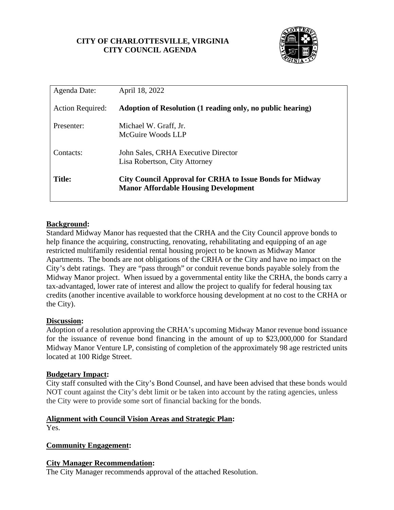# **CITY OF CHARLOTTESVILLE, VIRGINIA CITY COUNCIL AGENDA**



| Agenda Date:            | April 18, 2022                                                                                                 |
|-------------------------|----------------------------------------------------------------------------------------------------------------|
| <b>Action Required:</b> | Adoption of Resolution (1 reading only, no public hearing)                                                     |
| Presenter:              | Michael W. Graff, Jr.<br>McGuire Woods LLP                                                                     |
| Contacts:               | John Sales, CRHA Executive Director<br>Lisa Robertson, City Attorney                                           |
| <b>Title:</b>           | <b>City Council Approval for CRHA to Issue Bonds for Midway</b><br><b>Manor Affordable Housing Development</b> |

### **Background:**

Standard Midway Manor has requested that the CRHA and the City Council approve bonds to help finance the acquiring, constructing, renovating, rehabilitating and equipping of an age restricted multifamily residential rental housing project to be known as Midway Manor Apartments. The bonds are not obligations of the CRHA or the City and have no impact on the City's debt ratings. They are "pass through" or conduit revenue bonds payable solely from the Midway Manor project. When issued by a governmental entity like the CRHA, the bonds carry a tax-advantaged, lower rate of interest and allow the project to qualify for federal housing tax credits (another incentive available to workforce housing development at no cost to the CRHA or the City).

#### **Discussion:**

Adoption of a resolution approving the CRHA's upcoming Midway Manor revenue bond issuance for the issuance of revenue bond financing in the amount of up to \$23,000,000 for Standard Midway Manor Venture LP, consisting of completion of the approximately 98 age restricted units located at 100 Ridge Street.

#### **Budgetary Impact:**

City staff consulted with the City's Bond Counsel, and have been advised that these bonds would NOT count against the City's debt limit or be taken into account by the rating agencies, unless the City were to provide some sort of financial backing for the bonds.

#### **Alignment with Council Vision Areas and Strategic Plan:**

Yes.

#### **Community Engagement:**

#### **City Manager Recommendation:**

The City Manager recommends approval of the attached Resolution.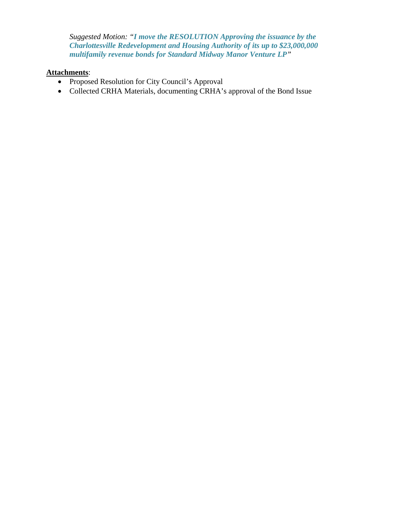*Suggested Motion: "I move the RESOLUTION Approving the issuance by the Charlottesville Redevelopment and Housing Authority of its up to \$23,000,000 multifamily revenue bonds for Standard Midway Manor Venture LP"*

# **Attachments**:

- Proposed Resolution for City Council's Approval
- Collected CRHA Materials, documenting CRHA's approval of the Bond Issue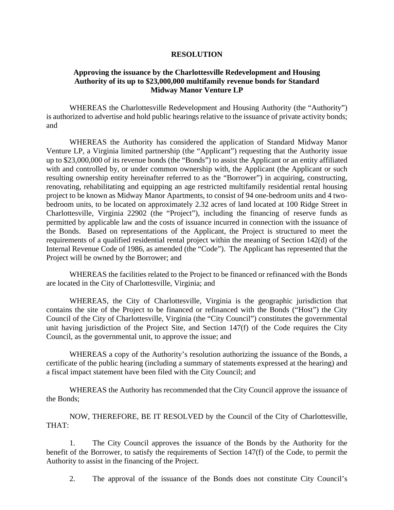#### **RESOLUTION**

#### **Approving the issuance by the Charlottesville Redevelopment and Housing Authority of its up to \$23,000,000 multifamily revenue bonds for Standard Midway Manor Venture LP**

WHEREAS the Charlottesville Redevelopment and Housing Authority (the "Authority") is authorized to advertise and hold public hearings relative to the issuance of private activity bonds; and

WHEREAS the Authority has considered the application of Standard Midway Manor Venture LP, a Virginia limited partnership (the "Applicant") requesting that the Authority issue up to \$23,000,000 of its revenue bonds (the "Bonds") to assist the Applicant or an entity affiliated with and controlled by, or under common ownership with, the Applicant (the Applicant or such resulting ownership entity hereinafter referred to as the "Borrower") in acquiring, constructing, renovating, rehabilitating and equipping an age restricted multifamily residential rental housing project to be known as Midway Manor Apartments, to consist of 94 one-bedroom units and 4 twobedroom units, to be located on approximately 2.32 acres of land located at 100 Ridge Street in Charlottesville, Virginia 22902 (the "Project"), including the financing of reserve funds as permitted by applicable law and the costs of issuance incurred in connection with the issuance of the Bonds. Based on representations of the Applicant, the Project is structured to meet the requirements of a qualified residential rental project within the meaning of Section 142(d) of the Internal Revenue Code of 1986, as amended (the "Code"). The Applicant has represented that the Project will be owned by the Borrower; and

WHEREAS the facilities related to the Project to be financed or refinanced with the Bonds are located in the City of Charlottesville, Virginia; and

WHEREAS, the City of Charlottesville, Virginia is the geographic jurisdiction that contains the site of the Project to be financed or refinanced with the Bonds ("Host") the City Council of the City of Charlottesville, Virginia (the "City Council") constitutes the governmental unit having jurisdiction of the Project Site, and Section 147(f) of the Code requires the City Council, as the governmental unit, to approve the issue; and

WHEREAS a copy of the Authority's resolution authorizing the issuance of the Bonds, a certificate of the public hearing (including a summary of statements expressed at the hearing) and a fiscal impact statement have been filed with the City Council; and

WHEREAS the Authority has recommended that the City Council approve the issuance of the Bonds;

NOW, THEREFORE, BE IT RESOLVED by the Council of the City of Charlottesville, THAT:

1. The City Council approves the issuance of the Bonds by the Authority for the benefit of the Borrower, to satisfy the requirements of Section 147(f) of the Code, to permit the Authority to assist in the financing of the Project.

2. The approval of the issuance of the Bonds does not constitute City Council's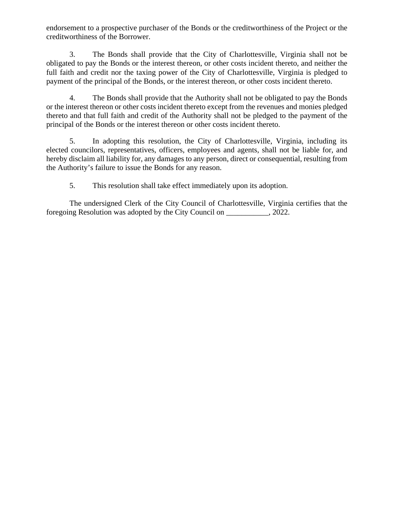endorsement to a prospective purchaser of the Bonds or the creditworthiness of the Project or the creditworthiness of the Borrower.

3. The Bonds shall provide that the City of Charlottesville, Virginia shall not be obligated to pay the Bonds or the interest thereon, or other costs incident thereto, and neither the full faith and credit nor the taxing power of the City of Charlottesville, Virginia is pledged to payment of the principal of the Bonds, or the interest thereon, or other costs incident thereto.

4. The Bonds shall provide that the Authority shall not be obligated to pay the Bonds or the interest thereon or other costs incident thereto except from the revenues and monies pledged thereto and that full faith and credit of the Authority shall not be pledged to the payment of the principal of the Bonds or the interest thereon or other costs incident thereto.

5. In adopting this resolution, the City of Charlottesville, Virginia, including its elected councilors, representatives, officers, employees and agents, shall not be liable for, and hereby disclaim all liability for, any damages to any person, direct or consequential, resulting from the Authority's failure to issue the Bonds for any reason.

5. This resolution shall take effect immediately upon its adoption.

The undersigned Clerk of the City Council of Charlottesville, Virginia certifies that the foregoing Resolution was adopted by the City Council on \_\_\_\_\_\_\_\_\_\_\_, 2022.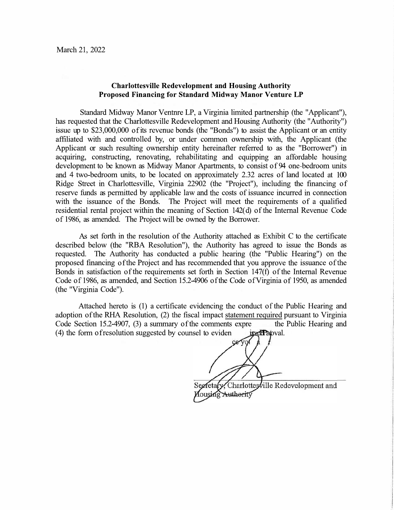#### **Charlottesville Redevelopment and Housing Authority** Proposed Financing for Standard Midway Manor Venture LP

Standard Midway Manor Ventnre LP, a Virginia limited partnership (the "Applicant"), has requested that the Charlottesville Redevelopment and Housing Authority (the "Authority") issue up to \$23,000,000 of its revenue bonds (the "Bonds") to assist the Applicant or an entity affiliated with and controlled by, or under common ownership with, the Applicant (the Applicant or such resulting ownership entity hereinafter referred to as the "Borrower") in acquiring, constructing, renovating, rehabilitating and equipping an affordable housing development to be known as Midway Manor Apartments, to consist of 94 one-bedroom units and 4 two-bedroom units, to be located on approximately 2.32 acres of land located at 100 Ridge Street in Charlottesville, Virginia 22902 (the "Project"), including the financing of reserve funds as permitted by applicable law and the costs of issuance incurred in connection with the issuance of the Bonds. The Project will meet the requirements of a qualified residential rental project within the meaning of Section 142(d) of the Internal Revenue Code of 1986, as amended. The Project will be owned by the Borrower.

As set forth in the resolution of the Authority attached as Exhibit C to the certificate described below (the "RBA Resolution"), the Authority has agreed to issue the Bonds as requested. The Authority has conducted a public hearing (the "Public Hearing") on the proposed financing of the Project and has recommended that you approve the issuance of the Bonds in satisfaction of the requirements set forth in Section 147(f) of the Internal Revenue Code of 1986, as amended, and Section 15.2-4906 of the Code of Virginia of 1950, as amended (the "Virginia Code").

Attached hereto is (1) a certificate evidencing the conduct of the Public Hearing and adoption of the RHA Resolution, (2) the fiscal impact statement required pursuant to Virginia Code Section 15.2-4907, (3) a summary of the comments expre the Public Hearing and (4) the form of resolution suggested by counsel to eviden **BactPatoval.** 

cery Secretary, Charlottesville Redevelopment and Aousing Authority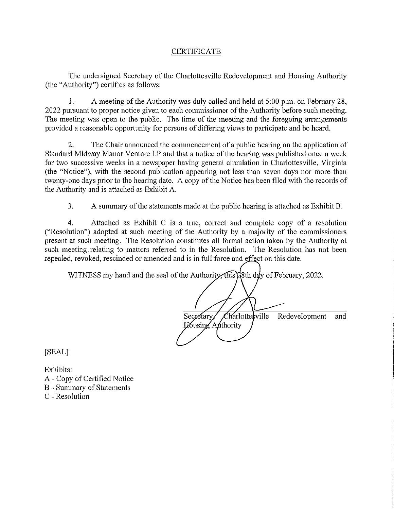#### **CERTIFICATE**

The undersigned Secretary of the Charlottesville Redevelopment and Housing Authority (the "Authority") certifies as follows:

 $\mathbf{1}$ . A meeting of the Authority was duly called and held at 5:00 p.m. on February 28, 2022 pursuant to proper notice given to each commissioner of the Authority before such meeting. The meeting was open to the public. The time of the meeting and the foregoing arrangements provided a reasonable opportunity for persons of differing views to participate and be heard.

 $2.$ The Chair announced the commencement of a public hearing on the application of Standard Midway Manor Venture LP and that a notice of the hearing was published once a week for two successive weeks in a newspaper having general circulation in Charlottesville, Virginia (the "Notice"), with the second publication appearing not less than seven days nor more than twenty-one days prior to the hearing date. A copy of the Notice has been filed with the records of the Authority and is attached as Exhibit A.

3. A summary of the statements made at the public hearing is attached as Exhibit B.

 $\overline{4}$ . Attached as Exhibit C is a true, correct and complete copy of a resolution ("Resolution") adopted at such meeting of the Authority by a majority of the commissioners present at such meeting. The Resolution constitutes all formal action taken by the Authority at such meeting relating to matters referred to in the Resolution. The Resolution has not been repealed, revoked, rescinded or amended and is in full force and effect on this date.

WITNESS my hand and the seal of the Authority, this day of February, 2022.

Charlottesville Secretary Redevelopment and Housing Anthority

[SEAL]

Exhibits: A - Copy of Certified Notice **B** - Summary of Statements C - Resolution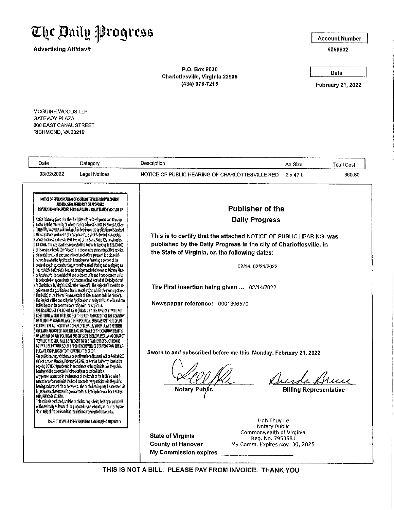

**Advertising Affidavit** 

**Account Number** 

6050832

P.O. Box 9030 Charlottesville, Virginia 22906 (434) 978-7215

Date

**February 21, 2022** 

MCGUIRE WOODS LLP **GATEWAY PLAZA** 800 EAST CANAL STREET RICHMOND, VA 23219

| Date<br>Category                                                                                                                                                                                                                                                                                                                                                                                                                                                                                                                                                                                                                                                                                                                                                                                                                                                                                                                                                                                                                                                                                                                                                                                                                                                                                                                                                                                                                                                                                                                                                                                                                                                                                                                                                                                                                                                                                                                                                                                                                                                                                                                                                                                                                                                                                                                                                                                                                                                                                                                                                                                                                                                                                                                                                                                                                                                                                                                                                                                                                                                                                                                                                                                                                                        | Description                                                                                                                                                                                                                                                                                                                                                                                                                                                                                                                        | Ad Size                       | <b>Total Cost</b> |
|---------------------------------------------------------------------------------------------------------------------------------------------------------------------------------------------------------------------------------------------------------------------------------------------------------------------------------------------------------------------------------------------------------------------------------------------------------------------------------------------------------------------------------------------------------------------------------------------------------------------------------------------------------------------------------------------------------------------------------------------------------------------------------------------------------------------------------------------------------------------------------------------------------------------------------------------------------------------------------------------------------------------------------------------------------------------------------------------------------------------------------------------------------------------------------------------------------------------------------------------------------------------------------------------------------------------------------------------------------------------------------------------------------------------------------------------------------------------------------------------------------------------------------------------------------------------------------------------------------------------------------------------------------------------------------------------------------------------------------------------------------------------------------------------------------------------------------------------------------------------------------------------------------------------------------------------------------------------------------------------------------------------------------------------------------------------------------------------------------------------------------------------------------------------------------------------------------------------------------------------------------------------------------------------------------------------------------------------------------------------------------------------------------------------------------------------------------------------------------------------------------------------------------------------------------------------------------------------------------------------------------------------------------------------------------------------------------------------------------------------------------------------------------------------------------------------------------------------------------------------------------------------------------------------------------------------------------------------------------------------------------------------------------------------------------------------------------------------------------------------------------------------------------------------------------------------------------------------------------------------------------|------------------------------------------------------------------------------------------------------------------------------------------------------------------------------------------------------------------------------------------------------------------------------------------------------------------------------------------------------------------------------------------------------------------------------------------------------------------------------------------------------------------------------------|-------------------------------|-------------------|
| 03/02/2022<br><b>Legal Notices</b>                                                                                                                                                                                                                                                                                                                                                                                                                                                                                                                                                                                                                                                                                                                                                                                                                                                                                                                                                                                                                                                                                                                                                                                                                                                                                                                                                                                                                                                                                                                                                                                                                                                                                                                                                                                                                                                                                                                                                                                                                                                                                                                                                                                                                                                                                                                                                                                                                                                                                                                                                                                                                                                                                                                                                                                                                                                                                                                                                                                                                                                                                                                                                                                                                      | NOTICE OF PUBLIC HEARING OF CHARLOTTESVILLE RED                                                                                                                                                                                                                                                                                                                                                                                                                                                                                    | 2x47L                         | 860.80            |
| NOTICE OF PUBLIC HEARING OF CHARLOTTESYMLE REDEVELOPMENT<br>ANO HOUSING AUTHORITY ON PROPOSED<br>REVENUE BOND FIKANCING FOR STAKOARD MIDWAY ALANOR VENTURE LP<br>Holice is nereby given that the Charlottesville Recevelopment and Housing<br>Authority (the "Authority"), whose mailing address is 1000 1st Street S, Char-<br>lottesville, VA 2292, will hold a public hearing on the application of Standard<br>Hidway Harox Venture LP (the "Applicant"), a Vrginia Imited partnership<br>whose business address is 1901 Avenue of the Stars, Suite 395, Los Angeles,<br>CA 90067. The Applicant has requested the Authority issues up to \$23,000,000 of its revenue bonds (the "Bonds"), in one or more series of qualified residen-<br>tial rental bonds, at one time or from time to time pursuant to a plan of fi-<br>rance, to assist the Applicant in financing or refinancing a portion of the<br>costs of acquiring, constructing, renovating, rehabilitating and equipping an<br>age restricted affordable housing development to be known as Michay Man-<br>or Apartments, to coosist of 94 one bedroom units and 4 two-bedroom units.<br>to be located on approximately 2.32 acres of land located at 100 Ridge Street<br>In Charlottes ville, Virginia 22502 (the "Project"). The Project will meet the re-<br>quirements of a qualified residential rental project within the meaning of Sec-<br>tion 142(d) of the Internal Revenue Code of 1936, as amended (the "Code").<br>The Project will be connect by the Applicant or an entity affiliated with and control between the common ownership with the Applicant.<br>The ISSUANCE OF THE BONDS AS REQUESTED BY THE APPLICANT WILL HOT THE ISSUANCE OF THE BO<br>CONSTITUTE A DEBT OR PLEDGE OF THE FAITH AND CREDIT OF THE COMMON-<br>WEALTH OF VIRGINIA OR ANY OTHER POLITICAL SUBDIVISION THEREOF, IN-<br>CLUDING THE AUTHORITY AND CHARLOTTESVILLE, VIRGINIA, AND NEITHER<br>THE FAITH AND CREDIT HOR THE TAXING POWER OF THE COMMONWEALTH<br>OF VIRGINIA OR ANY POLITICAL SUBDIVISION THEREOF, INCLUDING CHARLOT-<br>TESVILLE, VIRGINIA, WILL BE PLECKED TO THE PAYMENT OF SUCH BONDS<br>BUT WILL BE PAYABLE SOLELY FROM THE REVENUES DERIVED FROM THE AP-<br>PUCANT AND PLEDGED TO THE PAYMENT THEREOF.<br>The public hearing, which may be continued or adjourned, will be held at 6:00<br>o'clock p.m. on Monday, February 28, 2022, before the Arthority. Due to the<br>orgoing COVID-19 pandemic, in accordance with applicable law, the public<br>hearing will be conducted electronically as described below.<br>Any person interested in the issuance of the Bonds or the facilities to be fi-<br>nanced or refinanced with the bond proceeds may participate in the public<br>hearing and present his or her views. The public hearing may be accessed via<br>https://www.charlottesville.gov/calendar or by telephone number 1-814-814-<br>8414, PIN Code 1533568.<br>This notice is published, and the public hearing is being held by or on behalf<br>of the Authority as Issuer of the proposed revenue bonds, as required by Sec-<br>than 141(f) of the Code and the regulations promulgated thereunder.<br>CHARLOTTESVILLE REDEVELOPMENT AND HOUSING AUTHORITY | <b>Publisher of the</b><br><b>Daily Progress</b><br>This is to certify that the attached NOTICE OF PUBLIC HEARING was<br>published by the Daily Progress in the city of Charlottesville, in<br>the State of Virginia, on the following dates:<br>02/14, 02/21/2022<br>The First insertion being given  02/14/2022<br>Newspaper reference: 0001306570<br>Sworn to and subscribed before me this Monday, February 21, 2022<br>Notary Public<br>Linh Thuy Le<br>Notary Public<br>Commonwealth of Virginia<br><b>State of Virginia</b> | <b>Billing Representative</b> |                   |
|                                                                                                                                                                                                                                                                                                                                                                                                                                                                                                                                                                                                                                                                                                                                                                                                                                                                                                                                                                                                                                                                                                                                                                                                                                                                                                                                                                                                                                                                                                                                                                                                                                                                                                                                                                                                                                                                                                                                                                                                                                                                                                                                                                                                                                                                                                                                                                                                                                                                                                                                                                                                                                                                                                                                                                                                                                                                                                                                                                                                                                                                                                                                                                                                                                                         | Reg. No. 7953581<br><b>County of Hanover</b><br>My Comm. Expires Nov. 30, 2025                                                                                                                                                                                                                                                                                                                                                                                                                                                     |                               |                   |
|                                                                                                                                                                                                                                                                                                                                                                                                                                                                                                                                                                                                                                                                                                                                                                                                                                                                                                                                                                                                                                                                                                                                                                                                                                                                                                                                                                                                                                                                                                                                                                                                                                                                                                                                                                                                                                                                                                                                                                                                                                                                                                                                                                                                                                                                                                                                                                                                                                                                                                                                                                                                                                                                                                                                                                                                                                                                                                                                                                                                                                                                                                                                                                                                                                                         | My Commission expires <b>Commission</b>                                                                                                                                                                                                                                                                                                                                                                                                                                                                                            |                               |                   |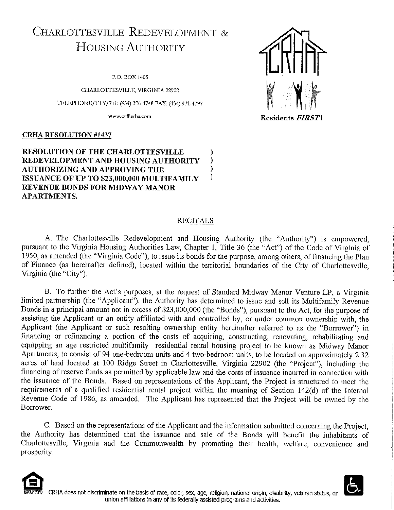# CHARLOTTESVILLE REDEVELOPMENT & **HOUSING AUTHORITY**

P.O. BOX 1405

CHARLOTTESVILLE, VIRGINIA 22902

TELEPHONE/TTY/711: (434) 326-4748 FAX: (434) 971-4797

www.cvillerha.com

#### **CRHA RESOLUTION #1437**

#### **RESOLUTION OF THE CHARLOTTESVILLE** REDEVELOPMENT AND HOUSING AUTHORITY **AUTHORIZING AND APPROVING THE**  $\lambda$  $\mathcal{C}$ ISSUANCE OF UP TO \$23,000,000 MULTIFAMILY **REVENUE BONDS FOR MIDWAY MANOR APARTMENTS.**

#### **RECITALS**

A. The Charlottesville Redevelopment and Housing Authority (the "Authority") is empowered. pursuant to the Virginia Housing Authorities Law, Chapter 1, Title 36 (the "Act") of the Code of Virginia of 1950, as amended (the "Virginia Code"), to issue its bonds for the purpose, among others, of financing the Plan of Finance (as hereinafter defined), located within the territorial boundaries of the City of Charlottesville, Virginia (the "City").

B. To further the Act's purposes, at the request of Standard Midway Manor Venture LP, a Virginia limited partnership (the "Applicant"), the Authority has determined to issue and sell its Multifamily Revenue Bonds in a principal amount not in excess of \$23,000,000 (the "Bonds"), pursuant to the Act, for the purpose of assisting the Applicant or an entity affiliated with and controlled by, or under common ownership with, the Applicant (the Applicant or such resulting ownership entity hereinafter referred to as the "Borrower") in financing or refinancing a portion of the costs of acquiring, constructing, renovating, rehabilitating and equipping an age restricted multifamily residential rental housing project to be known as Midway Manor Apartments, to consist of 94 one-bedroom units and 4 two-bedroom units, to be located on approximately 2.32 acres of land located at 100 Ridge Street in Charlottesville, Virginia 22902 (the "Project"), including the financing of reserve funds as permitted by applicable law and the costs of issuance incurred in connection with the issuance of the Bonds. Based on representations of the Applicant, the Project is structured to meet the requirements of a qualified residential rental project within the meaning of Section 142(d) of the Internal Revenue Code of 1986, as amended. The Applicant has represented that the Project will be owned by the Borrower.

C. Based on the representations of the Applicant and the information submitted concerning the Project. the Authority has determined that the issuance and sale of the Bonds will benefit the inhabitants of Charlottesville, Virginia and the Commonwealth by promoting their health, welfare, convenience and prosperity.





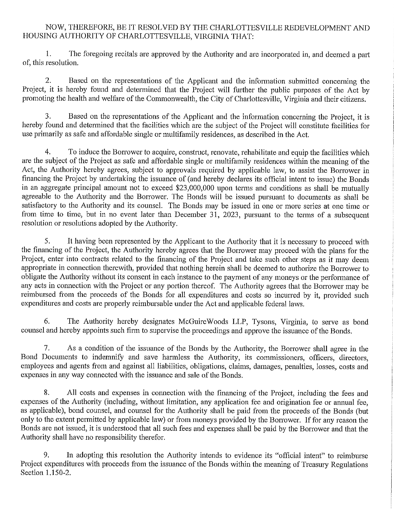# NOW, THEREFORE, BE IT RESOLVED BY THE CHARLOTTESVILLE REDEVELOPMENT AND HOUSING AUTHORITY OF CHARLOTTESVILLE, VIRGINIA THAT:

 $\mathbf{1}$ . The foregoing recitals are approved by the Authority and are incorporated in, and deemed a part of, this resolution.

Based on the representations of the Applicant and the information submitted concerning the  $2.$ Project, it is hereby found and determined that the Project will further the public purposes of the Act by promoting the health and welfare of the Commonwealth, the City of Charlottesville. Virginia and their citizens.

 $\overline{3}$ . Based on the representations of the Applicant and the information concerning the Project, it is hereby found and determined that the facilities which are the subject of the Project will constitute facilities for use primarily as safe and affordable single or multifamily residences, as described in the Act.

4. To induce the Borrower to acquire, construct, renovate, rehabilitate and equip the facilities which are the subject of the Project as safe and affordable single or multifamily residences within the meaning of the Act, the Authority hereby agrees, subject to approvals required by applicable law, to assist the Borrower in financing the Project by undertaking the issuance of (and hereby declares its official intent to issue) the Bonds in an aggregate principal amount not to exceed \$23,000,000 upon terms and conditions as shall be mutually agreeable to the Authority and the Borrower. The Bonds will be issued pursuant to documents as shall be satisfactory to the Authority and its counsel. The Bonds may be issued in one or more series at one time or from time to time, but in no event later than December 31, 2023, pursuant to the terms of a subsequent resolution or resolutions adopted by the Authority.

5. It having been represented by the Applicant to the Authority that it is necessary to proceed with the financing of the Project, the Authority hereby agrees that the Borrower may proceed with the plans for the Project, enter into contracts related to the financing of the Project and take such other steps as it may deem appropriate in connection therewith, provided that nothing herein shall be deemed to authorize the Borrower to obligate the Authority without its consent in each instance to the payment of any moneys or the performance of any acts in connection with the Project or any portion thereof. The Authority agrees that the Borrower may be reimbursed from the proceeds of the Bonds for all expenditures and costs so incurred by it, provided such expenditures and costs are properly reimbursable under the Act and applicable federal laws.

6. The Authority hereby designates McGuireWoods LLP, Tysons, Virginia, to serve as bond counsel and hereby appoints such firm to supervise the proceedings and approve the issuance of the Bonds.

7. As a condition of the issuance of the Bonds by the Authority, the Borrower shall agree in the Bond Documents to indemnify and save harmless the Authority, its commissioners, officers, directors, employees and agents from and against all liabilities, obligations, claims, damages, penalties, losses, costs and expenses in any way connected with the issuance and sale of the Bonds.

8. All costs and expenses in connection with the financing of the Project, including the fees and expenses of the Authority (including, without limitation, any application fee and origination fee or annual fee. as applicable), bond counsel, and counsel for the Authority shall be paid from the proceeds of the Bonds (but only to the extent permitted by applicable law) or from moneys provided by the Borrower. If for any reason the Bonds are not issued, it is understood that all such fees and expenses shall be paid by the Borrower and that the Authority shall have no responsibility therefor.

9. In adopting this resolution the Authority intends to evidence its "official intent" to reimburse Project expenditures with proceeds from the issuance of the Bonds within the meaning of Treasury Regulations Section 1.150-2.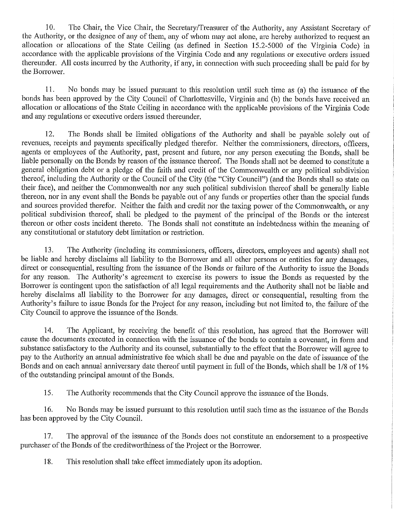$10.$ The Chair, the Vice Chair, the Secretary/Treasurer of the Authority, any Assistant Secretary of the Authority, or the designee of any of them, any of whom may act alone, are hereby authorized to request an allocation or allocations of the State Ceiling (as defined in Section 15.2-5000 of the Virginia Code) in accordance with the applicable provisions of the Virginia Code and any regulations or executive orders issued thereunder. All costs incurred by the Authority, if any, in connection with such proceeding shall be paid for by the Borrower.

11. No bonds may be issued pursuant to this resolution until such time as (a) the issuance of the bonds has been approved by the City Council of Charlottesville, Virginia and (b) the bonds have received an allocation or allocations of the State Ceiling in accordance with the applicable provisions of the Virginia Code and any regulations or executive orders issued thereunder.

12. The Bonds shall be limited obligations of the Authority and shall be payable solely out of revenues, receipts and payments specifically pledged therefor. Neither the commissioners, directors, officers, agents or employees of the Authority, past, present and future, nor any person executing the Bonds, shall be liable personally on the Bonds by reason of the issuance thereof. The Bonds shall not be deemed to constitute a general obligation debt or a pledge of the faith and credit of the Commonwealth or any political subdivision thereof, including the Authority or the Council of the City (the "City Council") (and the Bonds shall so state on their face), and neither the Commonwealth nor any such political subdivision thereof shall be generally liable thereon, nor in any event shall the Bonds be payable out of any funds or properties other than the special funds and sources provided therefor. Neither the faith and credit nor the taxing power of the Commonwealth, or any political subdivision thereof, shall be pledged to the payment of the principal of the Bonds or the interest thereon or other costs incident thereto. The Bonds shall not constitute an indebtedness within the meaning of any constitutional or statutory debt limitation or restriction.

13. The Authority (including its commissioners, officers, directors, employees and agents) shall not be liable and hereby disclaims all liability to the Borrower and all other persons or entities for any damages, direct or consequential, resulting from the issuance of the Bonds or failure of the Authority to issue the Bonds for any reason. The Authority's agreement to exercise its powers to issue the Bonds as requested by the Borrower is contingent upon the satisfaction of all legal requirements and the Authority shall not be liable and hereby disclaims all liability to the Borrower for any damages, direct or consequential, resulting from the Authority's failure to issue Bonds for the Project for any reason, including but not limited to, the failure of the City Council to approve the issuance of the Bonds.

14. The Applicant, by receiving the benefit of this resolution, has agreed that the Borrower will cause the documents executed in connection with the issuance of the bonds to contain a covenant, in form and substance satisfactory to the Authority and its counsel, substantially to the effect that the Borrower will agree to pay to the Authority an annual administrative fee which shall be due and payable on the date of issuance of the Bonds and on each annual anniversary date thereof until payment in full of the Bonds, which shall be 1/8 of 1% of the outstanding principal amount of the Bonds.

15. The Authority recommends that the City Council approve the issuance of the Bonds.

16. No Bonds may be issued pursuant to this resolution until such time as the issuance of the Bonds has been approved by the City Council.

17. The approval of the issuance of the Bonds does not constitute an endorsement to a prospective purchaser of the Bonds of the creditworthiness of the Project or the Borrower.

18. This resolution shall take effect immediately upon its adoption.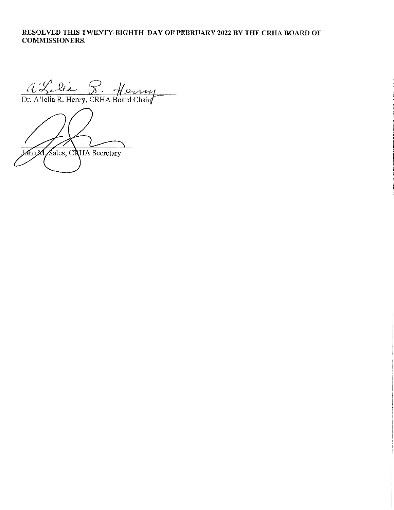# RESOLVED THIS TWENTY-EIGHTH DAY OF FEBRUARY 2022 BY THE CRHA BOARD OF **COMMISSIONERS.**

a Leve P. Henry

John M Sales, CRHA Secretary